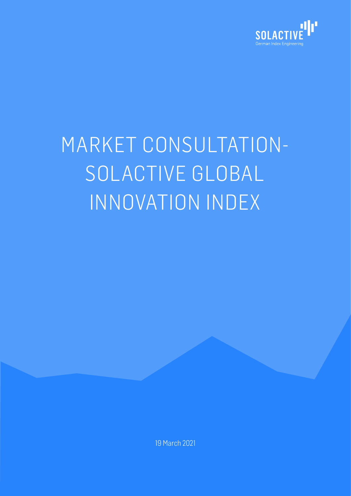

# MARKET CONSULTATION-SOLACTIVE GLOBAL INNOVATION INDEX

19 March 2021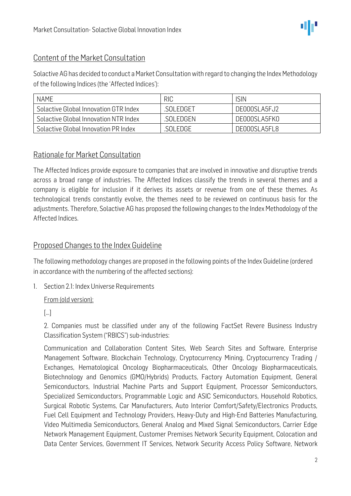

#### Content of the Market Consultation

Solactive AG has decided to conduct a Market Consultation with regard to changing the Index Methodology of the following Indices (the 'Affected Indices'):

| <b>NAME</b>                           | <b>RIC</b> | isin         |
|---------------------------------------|------------|--------------|
| Solactive Global Innovation GTR Index | .SOLEDGET  | DE000SLA5FJ2 |
| Solactive Global Innovation NTR Index | .SOI EDGEN | DE000SLA5FK0 |
| Solactive Global Innovation PR Index  | SOL EDGE   | DE000SLA5FL8 |

#### Rationale for Market Consultation

The Affected Indices provide exposure to companies that are involved in innovative and disruptive trends across a broad range of industries. The Affected Indices classify the trends in several themes and a company is eligible for inclusion if it derives its assets or revenue from one of these themes. As technological trends constantly evolve, the themes need to be reviewed on continuous basis for the adjustments. Therefore, Solactive AG has proposed the following changes to the Index Methodology of the Affected Indices.

#### Proposed Changes to the Index Guideline

The following methodology changes are proposed in the following points of the Index Guideline (ordered in accordance with the numbering of the affected sections):

1. Section 2.1: Index Universe Requirements

#### From (old version):

[…]

2. Companies must be classified under any of the following FactSet Revere Business Industry Classification System ("RBICS") sub-industries:

Communication and Collaboration Content Sites, Web Search Sites and Software, Enterprise Management Software, Blockchain Technology, Cryptocurrency Mining, Cryptocurrency Trading / Exchanges, Hematological Oncology Biopharmaceuticals, Other Oncology Biopharmaceuticals, Biotechnology and Genomics (GMO/Hybrids) Products, Factory Automation Equipment, General Semiconductors, Industrial Machine Parts and Support Equipment, Processor Semiconductors, Specialized Semiconductors, Programmable Logic and ASIC Semiconductors, Household Robotics, Surgical Robotic Systems, Car Manufacturers, Auto Interior Comfort/Safety/Electronics Products, Fuel Cell Equipment and Technology Providers, Heavy-Duty and High-End Batteries Manufacturing, Video Multimedia Semiconductors, General Analog and Mixed Signal Semiconductors, Carrier Edge Network Management Equipment, Customer Premises Network Security Equipment, Colocation and Data Center Services, Government IT Services, Network Security Access Policy Software, Network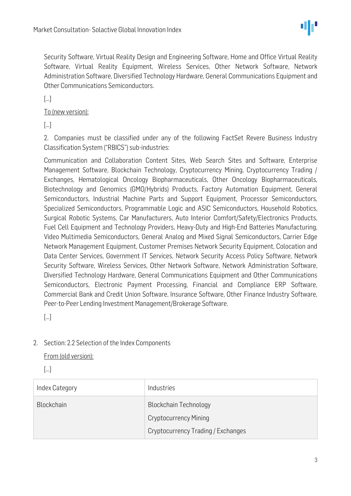

Security Software, Virtual Reality Design and Engineering Software, Home and Office Virtual Reality Software, Virtual Reality Equipment, Wireless Services, Other Network Software, Network Administration Software, Diversified Technology Hardware, General Communications Equipment and Other Communications Semiconductors.

[…]

To (new version):

[…]

2. Companies must be classified under any of the following FactSet Revere Business Industry Classification System ("RBICS") sub-industries:

Communication and Collaboration Content Sites, Web Search Sites and Software, Enterprise Management Software, Blockchain Technology, Cryptocurrency Mining, Cryptocurrency Trading / Exchanges, Hematological Oncology Biopharmaceuticals, Other Oncology Biopharmaceuticals, Biotechnology and Genomics (GMO/Hybrids) Products, Factory Automation Equipment, General Semiconductors, Industrial Machine Parts and Support Equipment, Processor Semiconductors, Specialized Semiconductors, Programmable Logic and ASIC Semiconductors, Household Robotics, Surgical Robotic Systems, Car Manufacturers, Auto Interior Comfort/Safety/Electronics Products, Fuel Cell Equipment and Technology Providers, Heavy-Duty and High-End Batteries Manufacturing, Video Multimedia Semiconductors, General Analog and Mixed Signal Semiconductors, Carrier Edge Network Management Equipment, Customer Premises Network Security Equipment, Colocation and Data Center Services, Government IT Services, Network Security Access Policy Software, Network Security Software, Wireless Services, Other Network Software, Network Administration Software, Diversified Technology Hardware, General Communications Equipment and Other Communications Semiconductors, Electronic Payment Processing, Financial and Compliance ERP Software, Commercial Bank and Credit Union Software, Insurance Software, Other Finance Industry Software, Peer-to-Peer Lending Investment Management/Brokerage Software.

[…]

#### 2. Section: 2.2 Selection of the Index Components

From (old version):

[…]

| Index Category    | Industries                         |
|-------------------|------------------------------------|
| <b>Blockchain</b> | <b>Blockchain Technology</b>       |
|                   | <b>Cryptocurrency Mining</b>       |
|                   | Cryptocurrency Trading / Exchanges |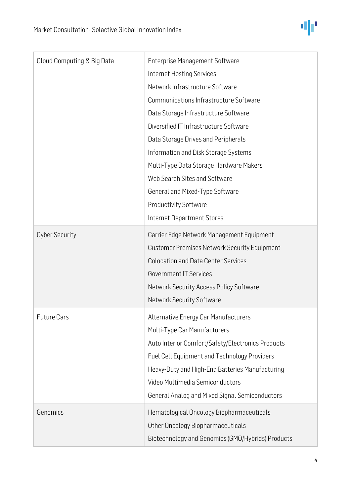

| Cloud Computing & Big Data | <b>Enterprise Management Software</b>               |
|----------------------------|-----------------------------------------------------|
|                            | Internet Hosting Services                           |
|                            | Network Infrastructure Software                     |
|                            | Communications Infrastructure Software              |
|                            | Data Storage Infrastructure Software                |
|                            | Diversified IT Infrastructure Software              |
|                            | Data Storage Drives and Peripherals                 |
|                            | Information and Disk Storage Systems                |
|                            | Multi-Type Data Storage Hardware Makers             |
|                            | Web Search Sites and Software                       |
|                            | General and Mixed-Type Software                     |
|                            | <b>Productivity Software</b>                        |
|                            | Internet Department Stores                          |
| <b>Cyber Security</b>      | Carrier Edge Network Management Equipment           |
|                            | <b>Customer Premises Network Security Equipment</b> |
|                            | <b>Colocation and Data Center Services</b>          |
|                            | <b>Government IT Services</b>                       |
|                            | Network Security Access Policy Software             |
|                            | Network Security Software                           |
| <b>Future Cars</b>         | Alternative Energy Car Manufacturers                |
|                            | Multi-Type Car Manufacturers                        |
|                            | Auto Interior Comfort/Safety/Electronics Products   |
|                            | Fuel Cell Equipment and Technology Providers        |
|                            | Heavy-Duty and High-End Batteries Manufacturing     |
|                            | Video Multimedia Semiconductors                     |
|                            | General Analog and Mixed Signal Semiconductors      |
| Genomics                   | Hematological Oncology Biopharmaceuticals           |
|                            | Other Oncology Biopharmaceuticals                   |
|                            | Biotechnology and Genomics (GMO/Hybrids) Products   |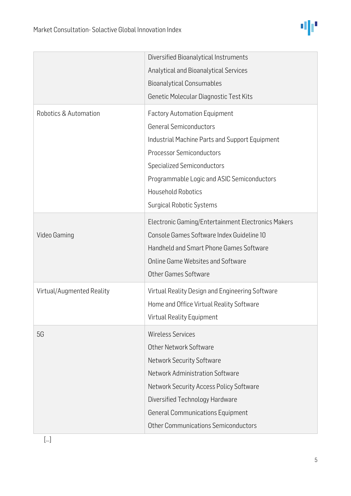

|                           | Diversified Bioanalytical Instruments              |
|---------------------------|----------------------------------------------------|
|                           | Analytical and Bioanalytical Services              |
|                           | <b>Bioanalytical Consumables</b>                   |
|                           | Genetic Molecular Diagnostic Test Kits             |
| Robotics & Automation     | <b>Factory Automation Equipment</b>                |
|                           | <b>General Semiconductors</b>                      |
|                           | Industrial Machine Parts and Support Equipment     |
|                           | <b>Processor Semiconductors</b>                    |
|                           | <b>Specialized Semiconductors</b>                  |
|                           | Programmable Logic and ASIC Semiconductors         |
|                           | <b>Household Robotics</b>                          |
|                           | <b>Surgical Robotic Systems</b>                    |
|                           | Electronic Gaming/Entertainment Electronics Makers |
| Video Gaming              | Console Games Software Index Guideline 10          |
|                           | Handheld and Smart Phone Games Software            |
|                           | <b>Online Game Websites and Software</b>           |
|                           | <b>Other Games Software</b>                        |
| Virtual/Augmented Reality | Virtual Reality Design and Engineering Software    |
|                           | Home and Office Virtual Reality Software           |
|                           | <b>Virtual Reality Equipment</b>                   |
|                           |                                                    |
| 5G                        | <b>Wireless Services</b>                           |
|                           | <b>Other Network Software</b>                      |
|                           | <b>Network Security Software</b>                   |
|                           | Network Administration Software                    |
|                           | Network Security Access Policy Software            |
|                           | Diversified Technology Hardware                    |
|                           | <b>General Communications Equipment</b>            |
|                           | <b>Other Communications Semiconductors</b>         |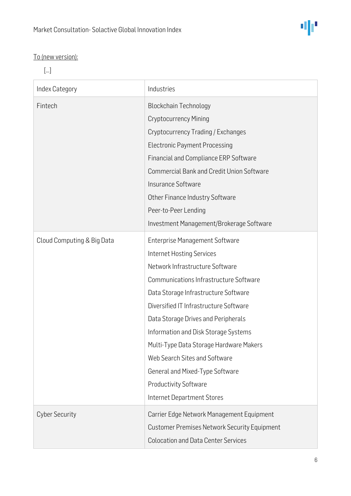

### To (new version):

[…]

| Index Category             | Industries                                          |
|----------------------------|-----------------------------------------------------|
| Fintech                    | <b>Blockchain Technology</b>                        |
|                            | <b>Cryptocurrency Mining</b>                        |
|                            | Cryptocurrency Trading / Exchanges                  |
|                            | <b>Electronic Payment Processing</b>                |
|                            | Financial and Compliance ERP Software               |
|                            | <b>Commercial Bank and Credit Union Software</b>    |
|                            | Insurance Software                                  |
|                            | Other Finance Industry Software                     |
|                            | Peer-to-Peer Lending                                |
|                            | Investment Management/Brokerage Software            |
| Cloud Computing & Big Data | <b>Enterprise Management Software</b>               |
|                            | <b>Internet Hosting Services</b>                    |
|                            | Network Infrastructure Software                     |
|                            | Communications Infrastructure Software              |
|                            | Data Storage Infrastructure Software                |
|                            | Diversified IT Infrastructure Software              |
|                            | Data Storage Drives and Peripherals                 |
|                            | Information and Disk Storage Systems                |
|                            | Multi-Type Data Storage Hardware Makers             |
|                            | Web Search Sites and Software                       |
|                            | General and Mixed-Type Software                     |
|                            | <b>Productivity Software</b>                        |
|                            | Internet Department Stores                          |
| <b>Cyber Security</b>      | Carrier Edge Network Management Equipment           |
|                            | <b>Customer Premises Network Security Equipment</b> |
|                            | <b>Colocation and Data Center Services</b>          |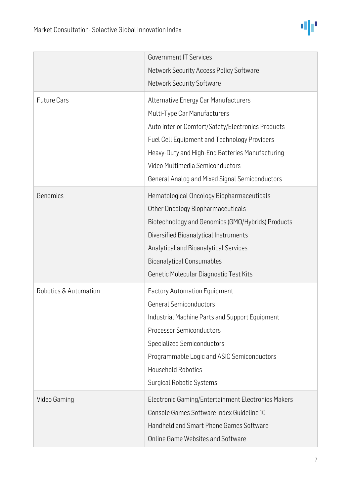

|                       | <b>Government IT Services</b>                      |
|-----------------------|----------------------------------------------------|
|                       | Network Security Access Policy Software            |
|                       | Network Security Software                          |
| <b>Future Cars</b>    | Alternative Energy Car Manufacturers               |
|                       | Multi-Type Car Manufacturers                       |
|                       | Auto Interior Comfort/Safety/Electronics Products  |
|                       | Fuel Cell Equipment and Technology Providers       |
|                       | Heavy-Duty and High-End Batteries Manufacturing    |
|                       | Video Multimedia Semiconductors                    |
|                       | General Analog and Mixed Signal Semiconductors     |
| Genomics              | Hematological Oncology Biopharmaceuticals          |
|                       | Other Oncology Biopharmaceuticals                  |
|                       | Biotechnology and Genomics (GMO/Hybrids) Products  |
|                       | Diversified Bioanalytical Instruments              |
|                       | Analytical and Bioanalytical Services              |
|                       | <b>Bioanalytical Consumables</b>                   |
|                       | Genetic Molecular Diagnostic Test Kits             |
| Robotics & Automation | <b>Factory Automation Equipment</b>                |
|                       | <b>General Semiconductors</b>                      |
|                       | Industrial Machine Parts and Support Equipment     |
|                       | <b>Processor Semiconductors</b>                    |
|                       | <b>Specialized Semiconductors</b>                  |
|                       | Programmable Logic and ASIC Semiconductors         |
|                       | <b>Household Robotics</b>                          |
|                       | <b>Surgical Robotic Systems</b>                    |
| Video Gaming          | Electronic Gaming/Entertainment Electronics Makers |
|                       | Console Games Software Index Guideline 10          |
|                       | Handheld and Smart Phone Games Software            |
|                       | <b>Online Game Websites and Software</b>           |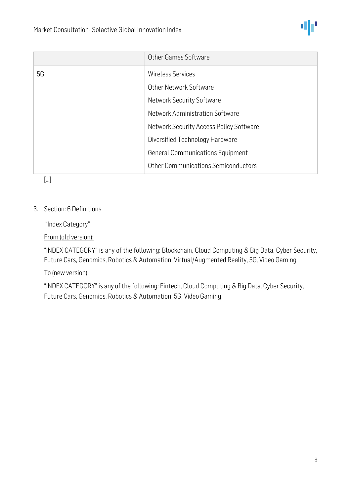

|    | Other Games Software                    |
|----|-----------------------------------------|
| 5G | Wireless Services                       |
|    | Other Network Software                  |
|    | <b>Network Security Software</b>        |
|    | Network Administration Software         |
|    | Network Security Access Policy Software |
|    | Diversified Technology Hardware         |
|    | <b>General Communications Equipment</b> |
|    | Other Communications Semiconductors     |

[…]

#### 3. Section: 6 Definitions

"Index Category"

From (old version):

"INDEX CATEGORY" is any of the following: Blockchain, Cloud Computing & Big Data, Cyber Security, Future Cars, Genomics, Robotics & Automation, Virtual/Augmented Reality, 5G, Video Gaming

To (new version):

"INDEX CATEGORY" is any of the following: Fintech, Cloud Computing & Big Data, Cyber Security, Future Cars, Genomics, Robotics & Automation, 5G, Video Gaming.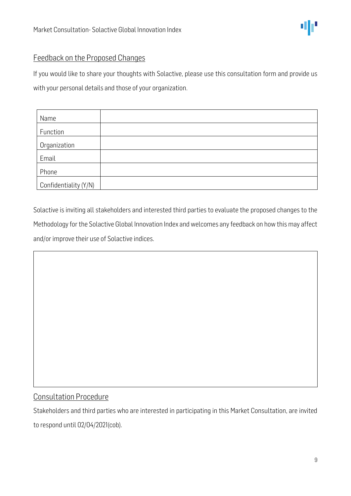

If you would like to share your thoughts with Solactive, please use this consultation form and provide us with your personal details and those of your organization.

| Name                  |  |
|-----------------------|--|
| Function              |  |
| Organization          |  |
| Email                 |  |
| Phone                 |  |
| Confidentiality (Y/N) |  |

Solactive is inviting all stakeholders and interested third parties to evaluate the proposed changes to the Methodology for the Solactive Global Innovation Index and welcomes any feedback on how this may affect and/or improve their use of Solactive indices.

#### Consultation Procedure

Stakeholders and third parties who are interested in participating in this Market Consultation, are invited to respond until 02/04/2021(cob).

đР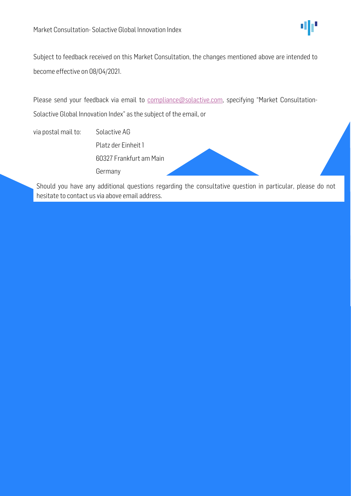

Subject to feedback received on this Market Consultation, the changes mentioned above are intended to become effective on 08/04/2021.

Please send your feedback via email to [compliance@solactive.com](mailto:compliance@solactive.com), specifying "Market Consultation-Solactive Global Innovation Index" as the subject of the email, or

via postal mail to: Solactive AG Platz der Einheit 1 60327 Frankfurt am Main Germany

Should you have any additional questions regarding the consultative question in particular, please do not hesitate to contact us via above email address.